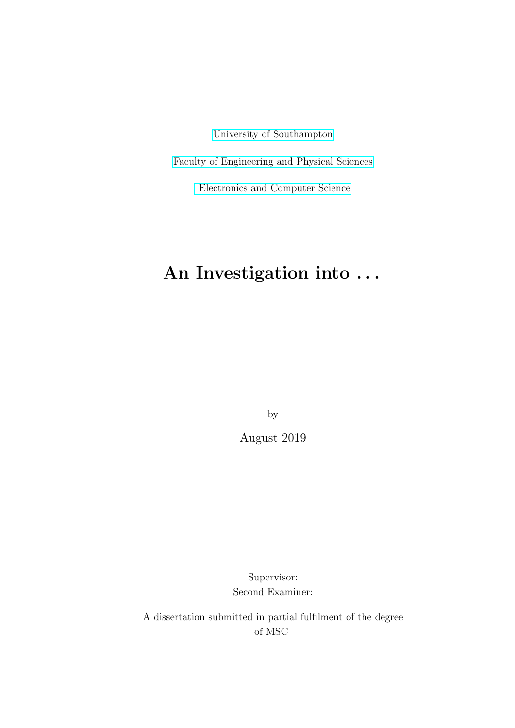[University of Southampton](http://www.soton.ac.uk)

[Faculty of Engineering and Physical Sciences](http://www.engineering.soton.ac.uk)

[Electronics and Computer Science](http://www.ecs.soton.ac.uk)

### An Investigation into . . .

by

August 2019

Supervisor: Second Examiner:

A dissertation submitted in partial fulfilment of the degree of MSC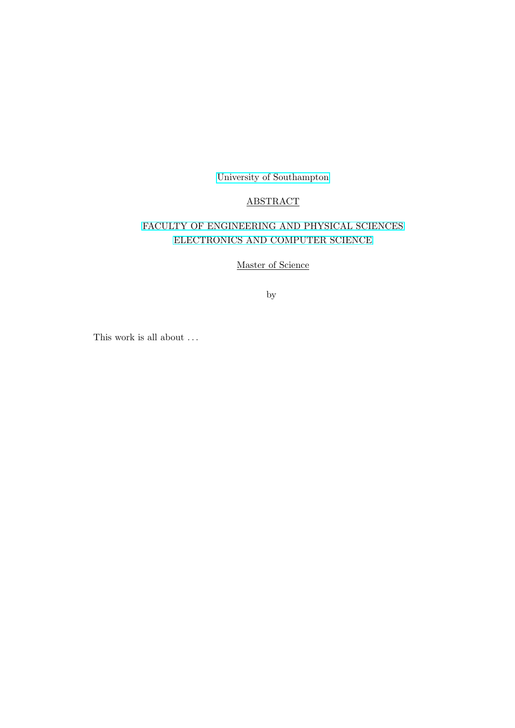[University of Southampton](http://www.soton.ac.uk)

#### ABSTRACT

#### [FACULTY OF ENGINEERING AND PHYSICAL SCIENCES](http://www.engineering.soton.ac.uk) [ELECTRONICS AND COMPUTER SCIENCE](http://www.ecs.soton.ac.uk)

Master of Science

by

This work is all about  $\ldots$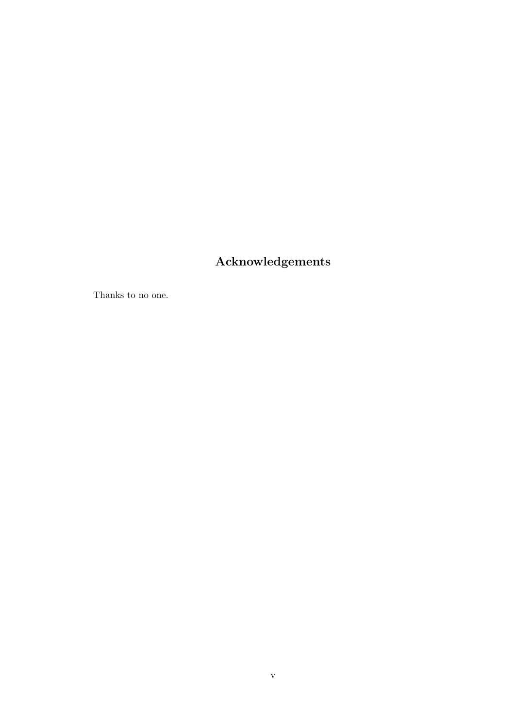#### <span id="page-4-0"></span>Acknowledgements

Thanks to no one.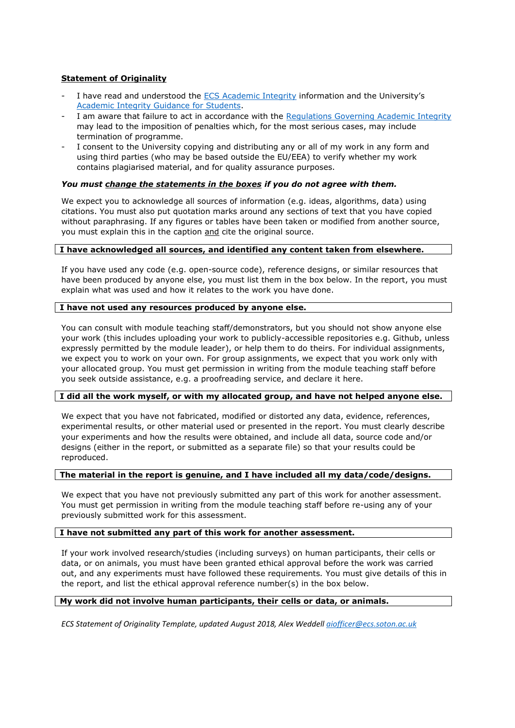#### **Statement of Originality**

- I have read and understood the ECS Academic Integrity information and the University's Academic Integrity Guidance for Students.
- I am aware that failure to act in accordance with the Regulations Governing Academic Integrity may lead to the imposition of penalties which, for the most serious cases, may include termination of programme.
- I consent to the University copying and distributing any or all of my work in any form and using third parties (who may be based outside the EU/EEA) to verify whether my work contains plagiarised material, and for quality assurance purposes.

#### *You must change the statements in the boxes if you do not agree with them.*

We expect you to acknowledge all sources of information (e.g. ideas, algorithms, data) using citations. You must also put quotation marks around any sections of text that you have copied without paraphrasing. If any figures or tables have been taken or modified from another source, you must explain this in the caption and cite the original source.

#### **I have acknowledged all sources, and identified any content taken from elsewhere.**

If you have used any code (e.g. open-source code), reference designs, or similar resources that have been produced by anyone else, you must list them in the box below. In the report, you must explain what was used and how it relates to the work you have done.

#### **I have not used any resources produced by anyone else.**

You can consult with module teaching staff/demonstrators, but you should not show anyone else your work (this includes uploading your work to publicly-accessible repositories e.g. Github, unless expressly permitted by the module leader), or help them to do theirs. For individual assignments, we expect you to work on your own. For group assignments, we expect that you work only with your allocated group. You must get permission in writing from the module teaching staff before you seek outside assistance, e.g. a proofreading service, and declare it here.

#### **I did all the work myself, or with my allocated group, and have not helped anyone else.**

We expect that you have not fabricated, modified or distorted any data, evidence, references, experimental results, or other material used or presented in the report. You must clearly describe your experiments and how the results were obtained, and include all data, source code and/or designs (either in the report, or submitted as a separate file) so that your results could be reproduced.

#### **The material in the report is genuine, and I have included all my data/code/designs.**

We expect that you have not previously submitted any part of this work for another assessment. You must get permission in writing from the module teaching staff before re-using any of your previously submitted work for this assessment.

#### **I have not submitted any part of this work for another assessment.**

If your work involved research/studies (including surveys) on human participants, their cells or data, or on animals, you must have been granted ethical approval before the work was carried out, and any experiments must have followed these requirements*.* You must give details of this in the report, and list the ethical approval reference number(s) in the box below.

#### **My work did not involve human participants, their cells or data, or animals.**

*ECS Statement of Originality Template, updated August 2018, Alex Weddell aiofficer@ecs.soton.ac.uk*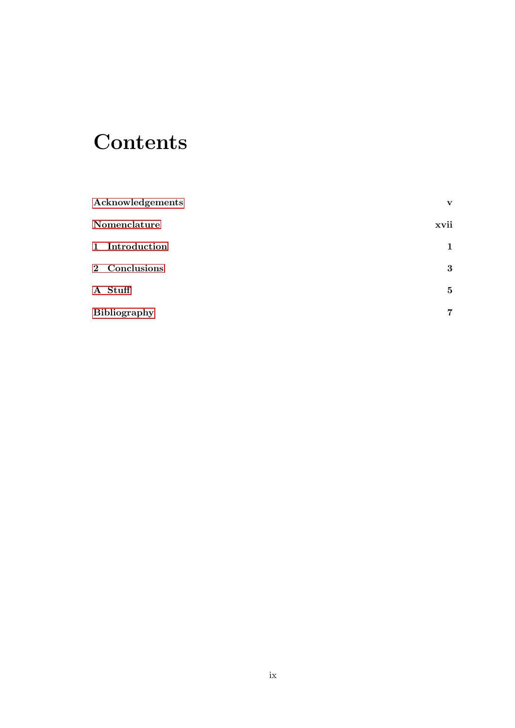### **Contents**

| Acknowledgements    | $\mathbf{v}$    |
|---------------------|-----------------|
| Nomenclature        | xvii            |
| 1 Introduction      | 1               |
| 2 Conclusions       | $\bf{3}$        |
| A Stuff             | $5\overline{ }$ |
| <b>Bibliography</b> | 7               |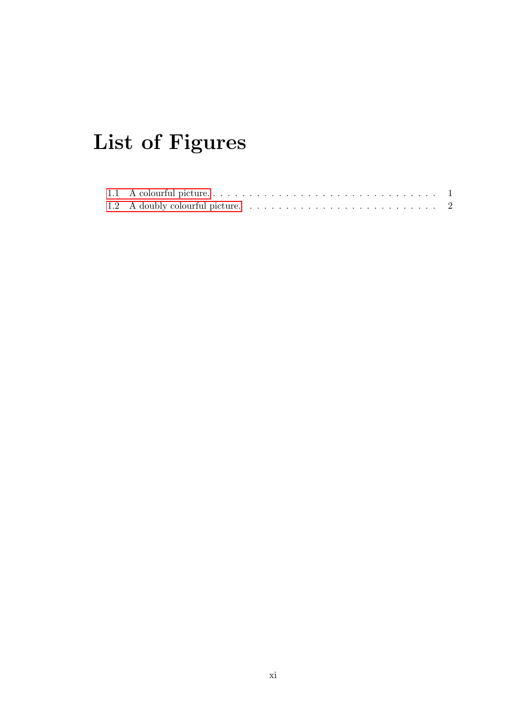# List of Figures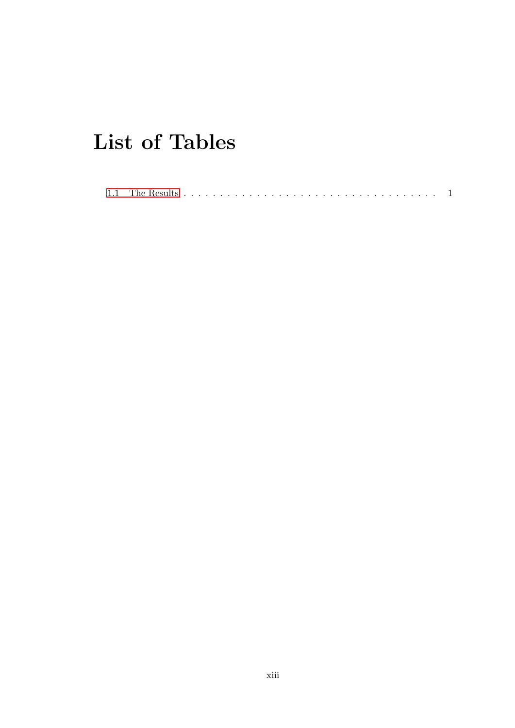### List of Tables

| 1.1 The Results |  |  |  |  |  |  |  |  |  |  |  |  |  |  |  |  |  |  |  |  |
|-----------------|--|--|--|--|--|--|--|--|--|--|--|--|--|--|--|--|--|--|--|--|
|                 |  |  |  |  |  |  |  |  |  |  |  |  |  |  |  |  |  |  |  |  |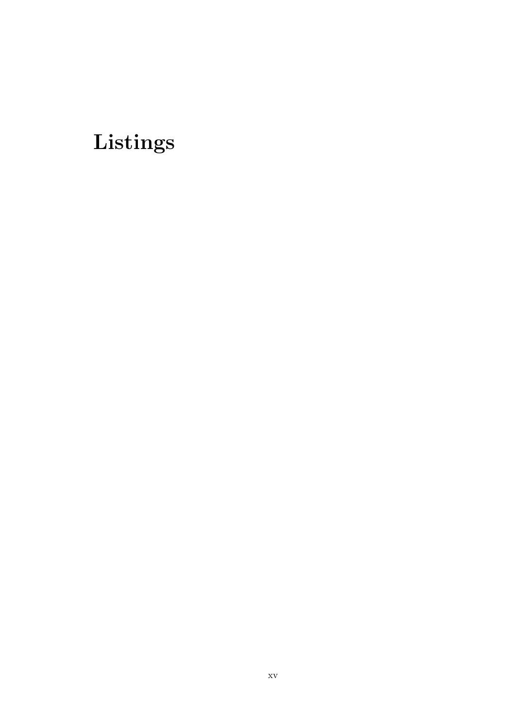### Listings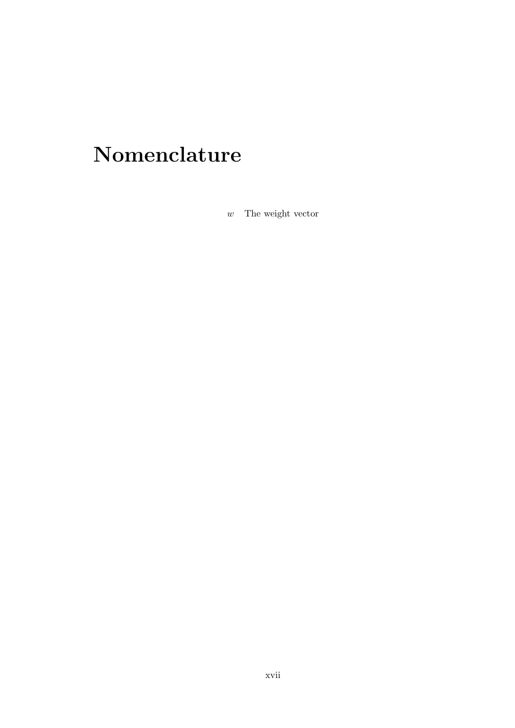# <span id="page-16-0"></span>Nomenclature

 $w$  The weight vector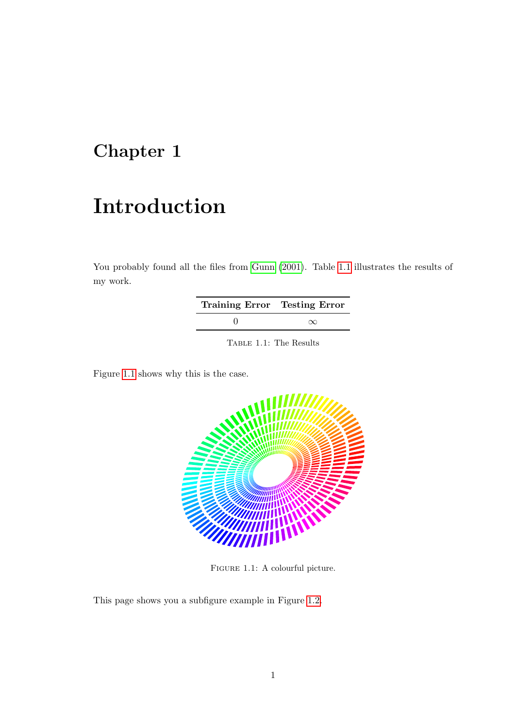### <span id="page-18-0"></span>Chapter 1

### Introduction

You probably found all the files from [Gunn](#page-24-1) [\(2001\)](#page-24-1). Table [1.1](#page-18-2) illustrates the results of my work.

| Training Error Testing Error |          |
|------------------------------|----------|
|                              | $\infty$ |

<span id="page-18-2"></span>Table 1.1: The Results

Figure [1.1](#page-18-1) shows why this is the case.



<span id="page-18-1"></span>FIGURE 1.1: A colourful picture.

This page shows you a subfigure example in Figure [1.2.](#page-19-0)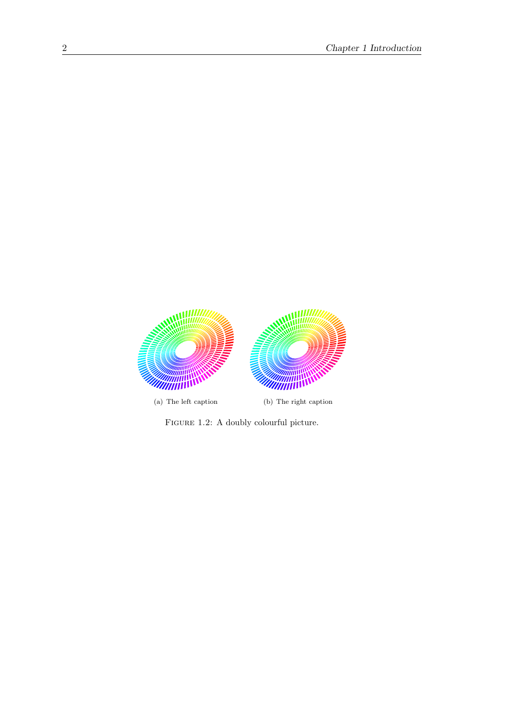

<span id="page-19-0"></span>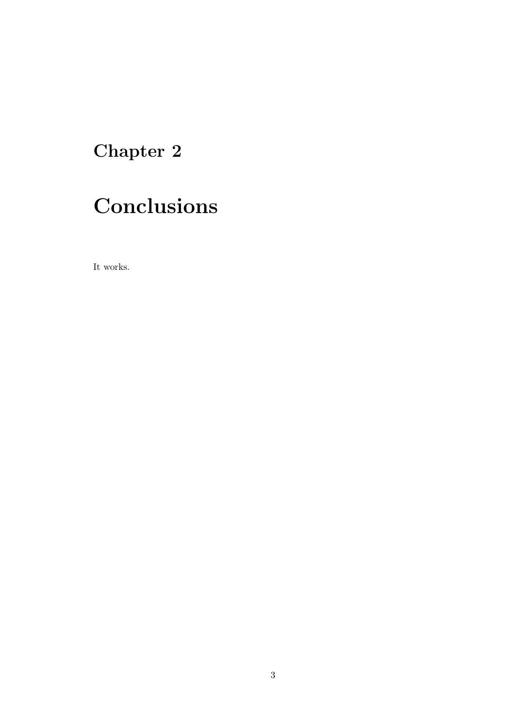### <span id="page-20-0"></span>Chapter 2

# Conclusions

It works.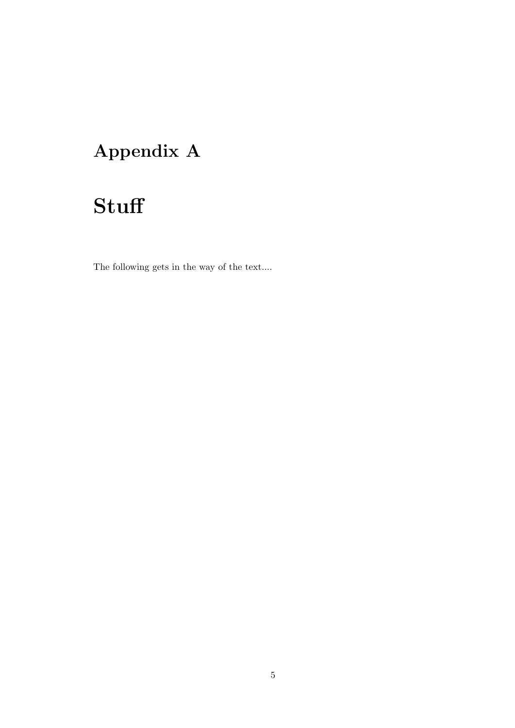### <span id="page-22-0"></span>Appendix A

# **Stuff**

The following gets in the way of the text....